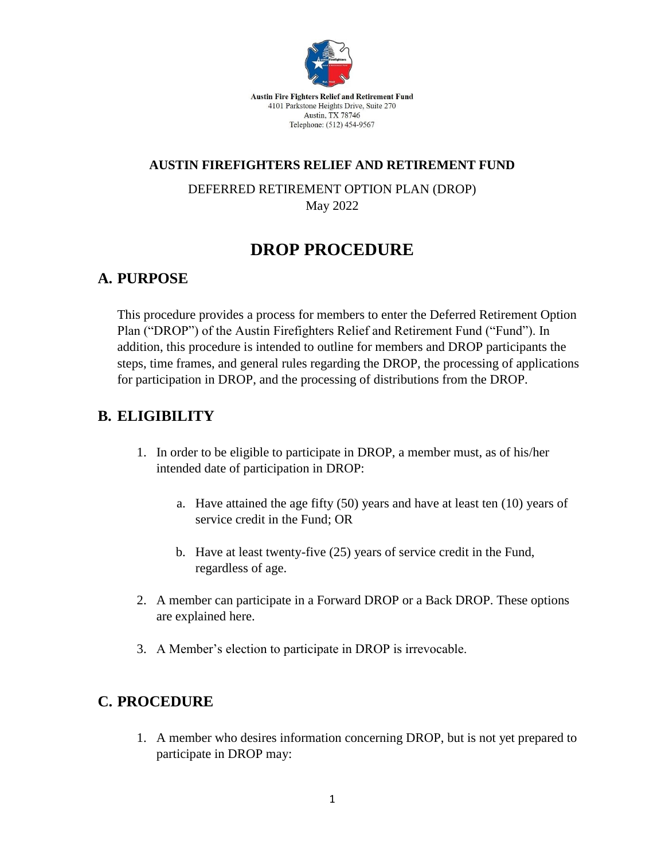

Austin Fire Fighters Relief and Retirement Fund 4101 Parkstone Heights Drive, Suite 270 Austin, TX 78746 Telephone: (512) 454-9567

#### **AUSTIN FIREFIGHTERS RELIEF AND RETIREMENT FUND**

DEFERRED RETIREMENT OPTION PLAN (DROP) May 2022

# **DROP PROCEDURE**

#### **A. PURPOSE**

This procedure provides a process for members to enter the Deferred Retirement Option Plan ("DROP") of the Austin Firefighters Relief and Retirement Fund ("Fund"). In addition, this procedure is intended to outline for members and DROP participants the steps, time frames, and general rules regarding the DROP, the processing of applications for participation in DROP, and the processing of distributions from the DROP.

### **B. ELIGIBILITY**

- 1. In order to be eligible to participate in DROP, a member must, as of his/her intended date of participation in DROP:
	- a. Have attained the age fifty (50) years and have at least ten (10) years of service credit in the Fund; OR
	- b. Have at least twenty-five (25) years of service credit in the Fund, regardless of age.
- 2. A member can participate in a Forward DROP or a Back DROP. These options are explained here.
- 3. A Member's election to participate in DROP is irrevocable.

#### **C. PROCEDURE**

1. A member who desires information concerning DROP, but is not yet prepared to participate in DROP may: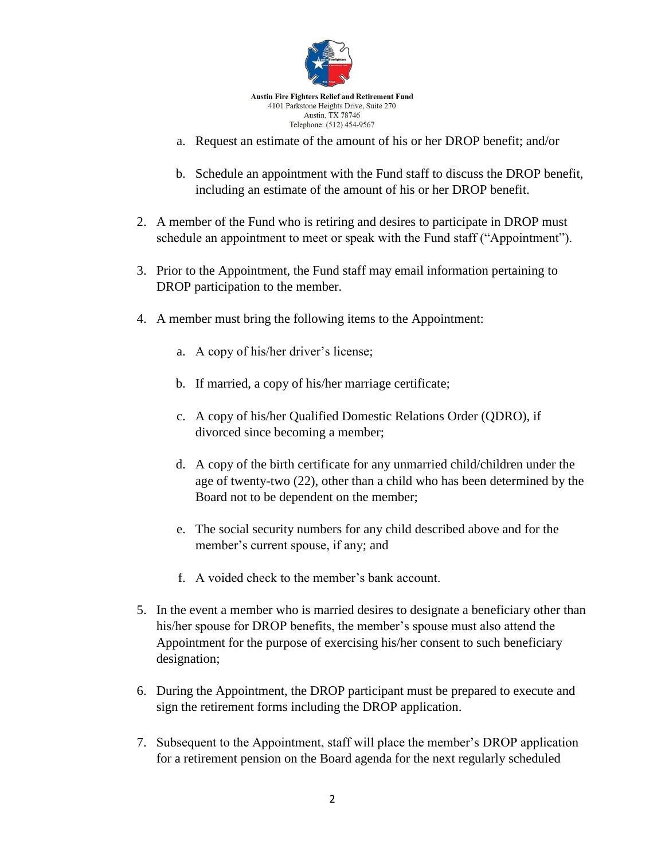

- a. Request an estimate of the amount of his or her DROP benefit; and/or
- b. Schedule an appointment with the Fund staff to discuss the DROP benefit, including an estimate of the amount of his or her DROP benefit.
- 2. A member of the Fund who is retiring and desires to participate in DROP must schedule an appointment to meet or speak with the Fund staff ("Appointment").
- 3. Prior to the Appointment, the Fund staff may email information pertaining to DROP participation to the member.
- 4. A member must bring the following items to the Appointment:
	- a. A copy of his/her driver's license;
	- b. If married, a copy of his/her marriage certificate;
	- c. A copy of his/her Qualified Domestic Relations Order (QDRO), if divorced since becoming a member;
	- d. A copy of the birth certificate for any unmarried child/children under the age of twenty-two (22), other than a child who has been determined by the Board not to be dependent on the member;
	- e. The social security numbers for any child described above and for the member's current spouse, if any; and
	- f. A voided check to the member's bank account.
- 5. In the event a member who is married desires to designate a beneficiary other than his/her spouse for DROP benefits, the member's spouse must also attend the Appointment for the purpose of exercising his/her consent to such beneficiary designation;
- 6. During the Appointment, the DROP participant must be prepared to execute and sign the retirement forms including the DROP application.
- 7. Subsequent to the Appointment, staff will place the member's DROP application for a retirement pension on the Board agenda for the next regularly scheduled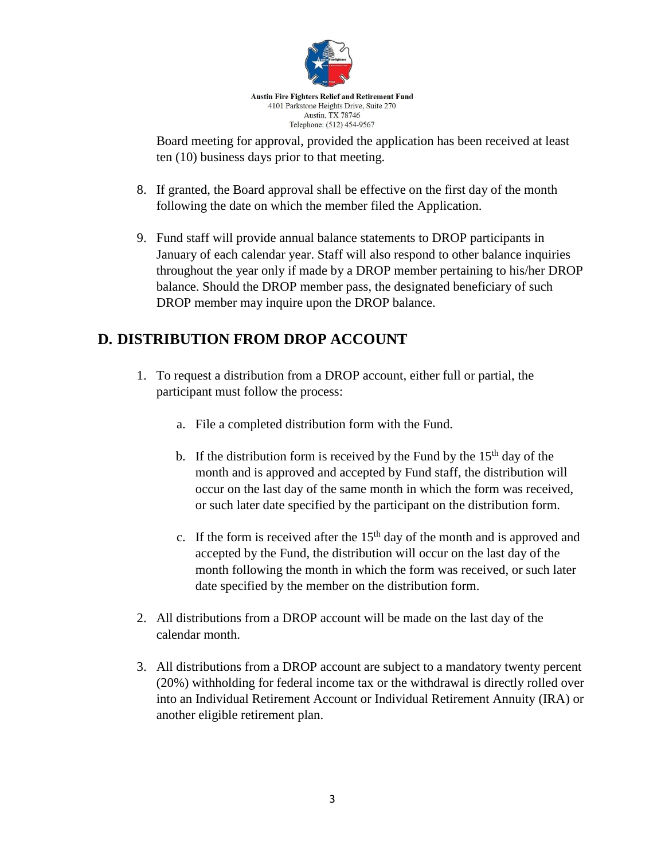

Board meeting for approval, provided the application has been received at least ten (10) business days prior to that meeting.

- 8. If granted, the Board approval shall be effective on the first day of the month following the date on which the member filed the Application.
- 9. Fund staff will provide annual balance statements to DROP participants in January of each calendar year. Staff will also respond to other balance inquiries throughout the year only if made by a DROP member pertaining to his/her DROP balance. Should the DROP member pass, the designated beneficiary of such DROP member may inquire upon the DROP balance.

## **D. DISTRIBUTION FROM DROP ACCOUNT**

- 1. To request a distribution from a DROP account, either full or partial, the participant must follow the process:
	- a. File a completed distribution form with the Fund.
	- b. If the distribution form is received by the Fund by the  $15<sup>th</sup>$  day of the month and is approved and accepted by Fund staff, the distribution will occur on the last day of the same month in which the form was received, or such later date specified by the participant on the distribution form.
	- c. If the form is received after the  $15<sup>th</sup>$  day of the month and is approved and accepted by the Fund, the distribution will occur on the last day of the month following the month in which the form was received, or such later date specified by the member on the distribution form.
- 2. All distributions from a DROP account will be made on the last day of the calendar month.
- 3. All distributions from a DROP account are subject to a mandatory twenty percent (20%) withholding for federal income tax or the withdrawal is directly rolled over into an Individual Retirement Account or Individual Retirement Annuity (IRA) or another eligible retirement plan.